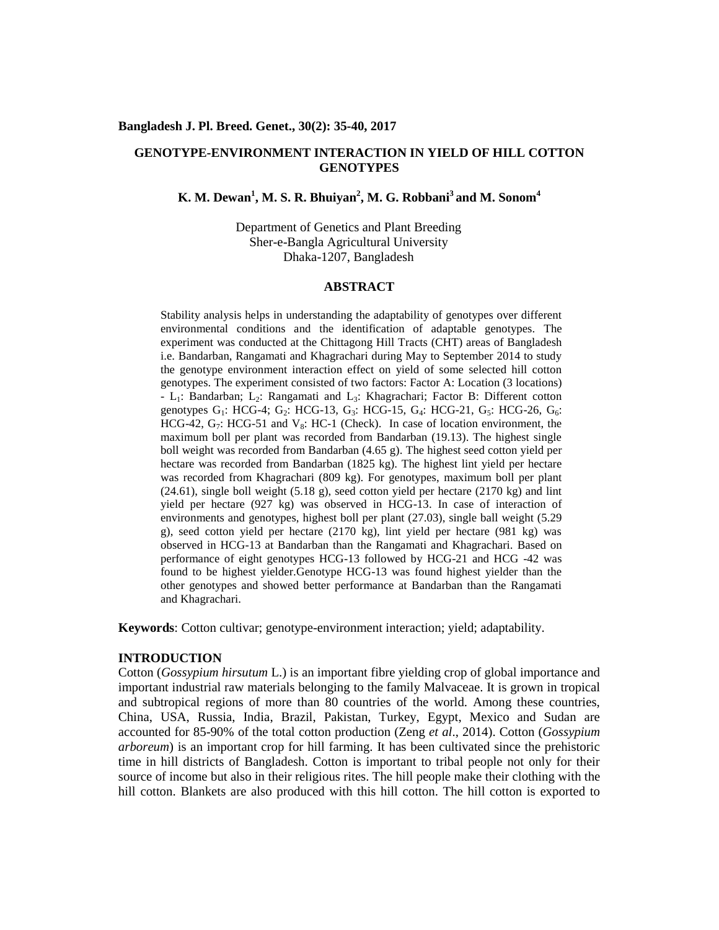#### **Bangladesh J. Pl. Breed. Genet., 30(2): 35-40, 2017**

## **GENOTYPE-ENVIRONMENT INTERACTION IN YIELD OF HILL COTTON GENOTYPES**

# **K. M. Dewan<sup>1</sup> , M. S. R. Bhuiyan<sup>2</sup> , M. G. Robbani<sup>3</sup> and M. Sonom<sup>4</sup>**

Department of Genetics and Plant Breeding Sher-e-Bangla Agricultural University Dhaka-1207, Bangladesh

#### **ABSTRACT**

Stability analysis helps in understanding the adaptability of genotypes over different environmental conditions and the identification of adaptable genotypes. The experiment was conducted at the Chittagong Hill Tracts (CHT) areas of Bangladesh i.e. Bandarban, Rangamati and Khagrachari during May to September 2014 to study the genotype environment interaction effect on yield of some selected hill cotton genotypes. The experiment consisted of two factors: Factor A: Location (3 locations) - L<sub>1</sub>: Bandarban; L<sub>2</sub>: Rangamati and L<sub>3</sub>: Khagrachari; Factor B: Different cotton genotypes  $G_1$ : HCG-4;  $G_2$ : HCG-13,  $G_3$ : HCG-15,  $G_4$ : HCG-21,  $G_5$ : HCG-26,  $G_6$ : HCG-42,  $G_7$ : HCG-51 and  $V_8$ : HC-1 (Check). In case of location environment, the maximum boll per plant was recorded from Bandarban (19.13). The highest single boll weight was recorded from Bandarban (4.65 g). The highest seed cotton yield per hectare was recorded from Bandarban (1825 kg). The highest lint yield per hectare was recorded from Khagrachari (809 kg). For genotypes, maximum boll per plant (24.61), single boll weight (5.18 g), seed cotton yield per hectare (2170 kg) and lint yield per hectare (927 kg) was observed in HCG-13. In case of interaction of environments and genotypes, highest boll per plant (27.03), single ball weight (5.29 g), seed cotton yield per hectare (2170 kg), lint yield per hectare (981 kg) was observed in HCG-13 at Bandarban than the Rangamati and Khagrachari. Based on performance of eight genotypes HCG-13 followed by HCG-21 and HCG -42 was found to be highest yielder.Genotype HCG-13 was found highest yielder than the other genotypes and showed better performance at Bandarban than the Rangamati and Khagrachari.

**Keywords**: Cotton cultivar; genotype-environment interaction; yield; adaptability.

### **INTRODUCTION**

Cotton (*Gossypium hirsutum* L.) is an important fibre yielding crop of global importance and important industrial raw materials belonging to the family Malvaceae. It is grown in tropical and subtropical regions of more than 80 countries of the world. Among these countries, China, USA, Russia, India, Brazil, Pakistan, Turkey, Egypt, Mexico and Sudan are accounted for 85-90% of the total cotton production (Zeng *et al*., 2014). Cotton (*Gossypium arboreum*) is an important crop for hill farming. It has been cultivated since the prehistoric time in hill districts of Bangladesh. Cotton is important to tribal people not only for their source of income but also in their religious rites. The hill people make their clothing with the hill cotton. Blankets are also produced with this hill cotton. The hill cotton is exported to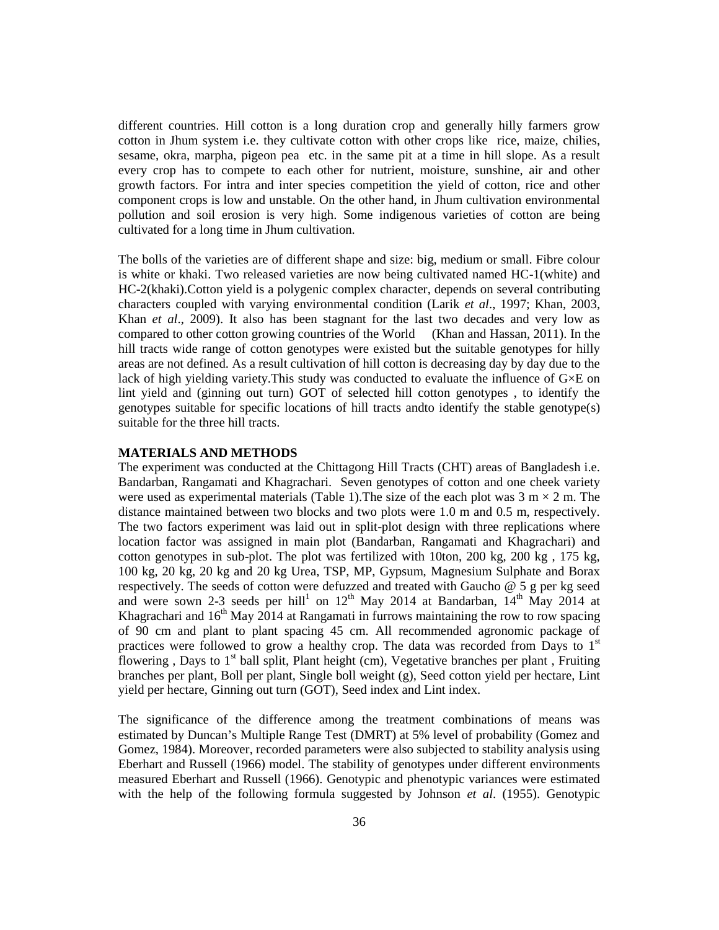different countries. Hill cotton is a long duration crop and generally hilly farmers grow cotton in Jhum system i.e. they cultivate cotton with other crops like rice, maize, chilies, sesame, okra, marpha, pigeon pea etc. in the same pit at a time in hill slope. As a result every crop has to compete to each other for nutrient, moisture, sunshine, air and other growth factors. For intra and inter species competition the yield of cotton, rice and other component crops is low and unstable. On the other hand, in Jhum cultivation environmental pollution and soil erosion is very high. Some indigenous varieties of cotton are being cultivated for a long time in Jhum cultivation.

The bolls of the varieties are of different shape and size: big, medium or small. Fibre colour is white or khaki. Two released varieties are now being cultivated named HC-1(white) and HC-2(khaki).Cotton yield is a polygenic complex character, depends on several contributing characters coupled with varying environmental condition (Larik *et al*., 1997; Khan, 2003, Khan *et al*., 2009). It also has been stagnant for the last two decades and very low as compared to other cotton growing countries of the World (Khan and Hassan, 2011). In the hill tracts wide range of cotton genotypes were existed but the suitable genotypes for hilly areas are not defined. As a result cultivation of hill cotton is decreasing day by day due to the lack of high yielding variety. This study was conducted to evaluate the influence of  $G \times E$  on lint yield and (ginning out turn) GOT of selected hill cotton genotypes , to identify the genotypes suitable for specific locations of hill tracts andto identify the stable genotype(s) suitable for the three hill tracts.

## **MATERIALS AND METHODS**

The experiment was conducted at the Chittagong Hill Tracts (CHT) areas of Bangladesh i.e. Bandarban, Rangamati and Khagrachari. Seven genotypes of cotton and one cheek variety were used as experimental materials (Table 1). The size of the each plot was  $3 \text{ m} \times 2 \text{ m}$ . The distance maintained between two blocks and two plots were 1.0 m and 0.5 m, respectively. The two factors experiment was laid out in split-plot design with three replications where location factor was assigned in main plot (Bandarban, Rangamati and Khagrachari) and cotton genotypes in sub-plot. The plot was fertilized with 10ton, 200 kg, 200 kg , 175 kg, 100 kg, 20 kg, 20 kg and 20 kg Urea, TSP, MP, Gypsum, Magnesium Sulphate and Borax respectively. The seeds of cotton were defuzzed and treated with Gaucho @ 5 g per kg seed and were sown 2-3 seeds per hill<sup>1</sup> on  $12<sup>th</sup>$  May 2014 at Bandarban,  $14<sup>th</sup>$  May 2014 at Khagrachari and  $16<sup>th</sup>$  May 2014 at Rangamati in furrows maintaining the row to row spacing of 90 cm and plant to plant spacing 45 cm. All recommended agronomic package of practices were followed to grow a healthy crop. The data was recorded from Days to  $1<sup>st</sup>$ flowering , Days to  $1<sup>st</sup>$  ball split, Plant height (cm), Vegetative branches per plant , Fruiting branches per plant, Boll per plant, Single boll weight (g), Seed cotton yield per hectare, Lint yield per hectare, Ginning out turn (GOT), Seed index and Lint index.

The significance of the difference among the treatment combinations of means was estimated by Duncan's Multiple Range Test (DMRT) at 5% level of probability (Gomez and Gomez, 1984). Moreover, recorded parameters were also subjected to stability analysis using Eberhart and Russell (1966) model. The stability of genotypes under different environments measured Eberhart and Russell (1966). Genotypic and phenotypic variances were estimated with the help of the following formula suggested by Johnson *et al*. (1955). Genotypic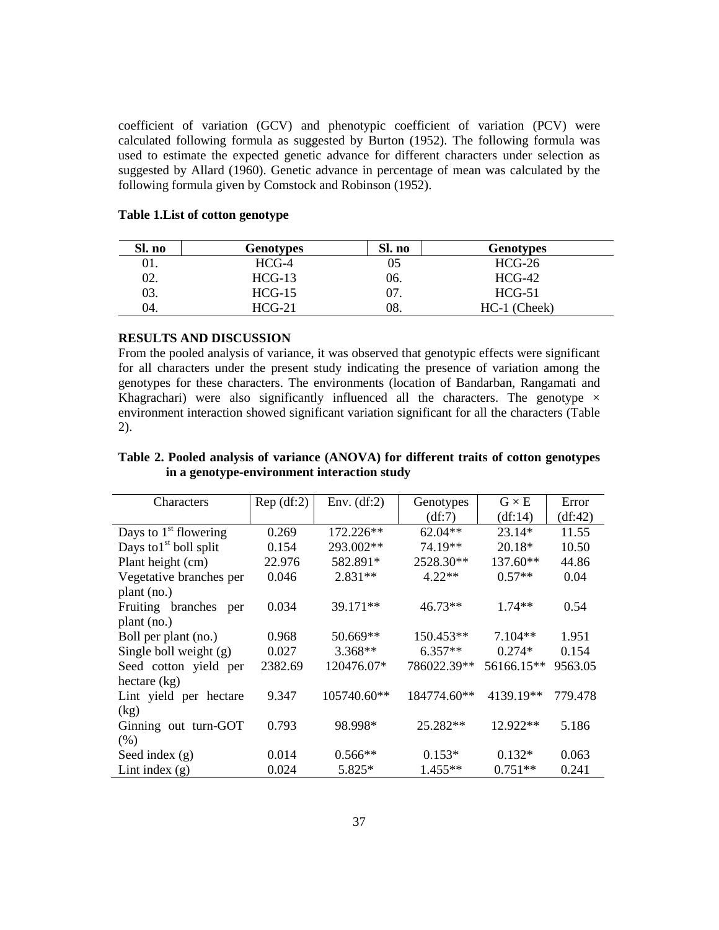coefficient of variation (GCV) and phenotypic coefficient of variation (PCV) were calculated following formula as suggested by Burton (1952). The following formula was used to estimate the expected genetic advance for different characters under selection as suggested by Allard (1960). Genetic advance in percentage of mean was calculated by the following formula given by Comstock and Robinson (1952).

| Sl. no | <b>Genotypes</b> | Sl. no | <b>Genotypes</b> |
|--------|------------------|--------|------------------|
| 01.    | $HCG-4$          | 05     | $HCG-26$         |
| 02.    | $HCG-13$         | 06.    | $HCG-42$         |
| 03.    | $HCG-15$         | 07.    | $HCG-51$         |
| 04.    | $HCG-21$         | 08.    | $HC-1$ (Cheek)   |

## **Table 1.List of cotton genotype**

### **RESULTS AND DISCUSSION**

From the pooled analysis of variance, it was observed that genotypic effects were significant for all characters under the present study indicating the presence of variation among the genotypes for these characters. The environments (location of Bandarban, Rangamati and Khagrachari) were also significantly influenced all the characters. The genotype  $\times$ environment interaction showed significant variation significant for all the characters (Table 2).

| Table 2. Pooled analysis of variance (ANOVA) for different traits of cotton genotypes |  |
|---------------------------------------------------------------------------------------|--|
| in a genotype-environment interaction study                                           |  |

| Characters               | Rep(df:2) | Env. $(df:2)$ | Genotypes   | $G \times E$ | Error   |
|--------------------------|-----------|---------------|-------------|--------------|---------|
|                          |           |               | (df:7)      | (df:14)      | (df:42) |
| Days to $1st$ flowering  | 0.269     | 172.226**     | 62.04**     | 23.14*       | 11.55   |
| Days to $1st$ boll split | 0.154     | 293.002**     | 74.19**     | 20.18*       | 10.50   |
| Plant height (cm)        | 22.976    | 582.891*      | 2528.30**   | 137.60**     | 44.86   |
| Vegetative branches per  | 0.046     | $2.831**$     | $4.22**$    | $0.57**$     | 0.04    |
| plant (no.)              |           |               |             |              |         |
| Fruiting branches<br>per | 0.034     | $39.171**$    | 46.73**     | $1.74**$     | 0.54    |
| plant (no.)              |           |               |             |              |         |
| Boll per plant (no.)     | 0.968     | 50.669**      | 150.453**   | $7.104**$    | 1.951   |
| Single boll weight $(g)$ | 0.027     | $3.368**$     | $6.357**$   | $0.274*$     | 0.154   |
| Seed cotton yield per    | 2382.69   | 120476.07*    | 786022.39** | 56166.15**   | 9563.05 |
| hectare (kg)             |           |               |             |              |         |
| Lint yield per hectare   | 9.347     | 105740.60**   | 184774.60** | 4139.19**    | 779.478 |
| (kg)                     |           |               |             |              |         |
| Ginning out turn-GOT     | 0.793     | 98.998*       | 25.282**    | 12.922**     | 5.186   |
| (% )                     |           |               |             |              |         |
| Seed index $(g)$         | 0.014     | $0.566**$     | $0.153*$    | $0.132*$     | 0.063   |
| Lint index $(g)$         | 0.024     | 5.825*        | $1.455**$   | $0.751**$    | 0.241   |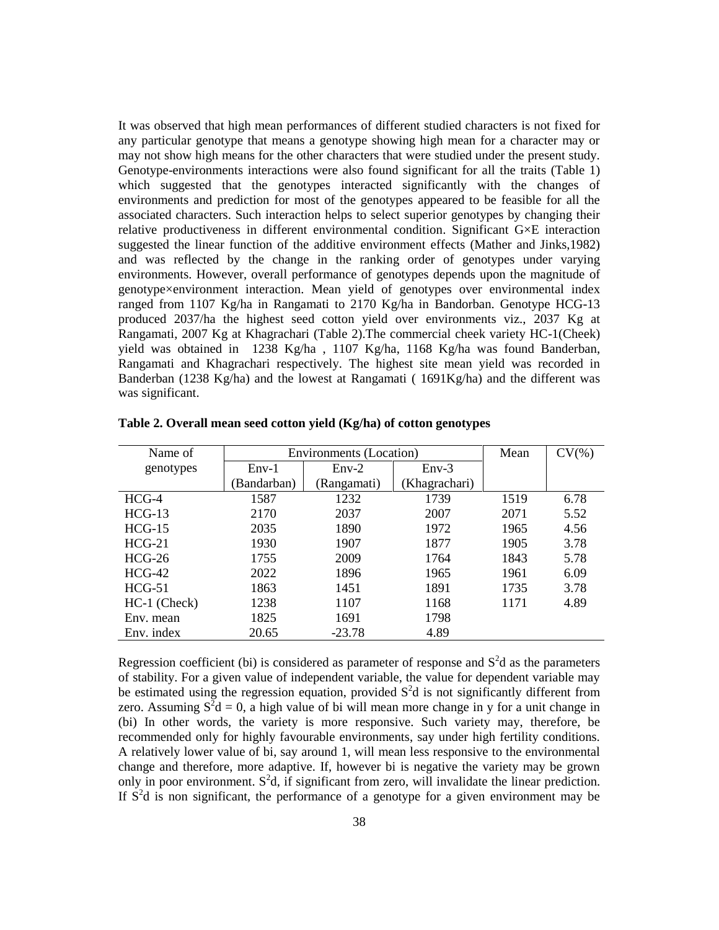It was observed that high mean performances of different studied characters is not fixed for any particular genotype that means a genotype showing high mean for a character may or may not show high means for the other characters that were studied under the present study. Genotype-environments interactions were also found significant for all the traits (Table 1) which suggested that the genotypes interacted significantly with the changes of environments and prediction for most of the genotypes appeared to be feasible for all the associated characters. Such interaction helps to select superior genotypes by changing their relative productiveness in different environmental condition. Significant G×E interaction suggested the linear function of the additive environment effects (Mather and Jinks,1982) and was reflected by the change in the ranking order of genotypes under varying environments. However, overall performance of genotypes depends upon the magnitude of genotype×environment interaction. Mean yield of genotypes over environmental index ranged from 1107 Kg/ha in Rangamati to 2170 Kg/ha in Bandorban. Genotype HCG-13 produced 2037/ha the highest seed cotton yield over environments viz., 2037 Kg at Rangamati, 2007 Kg at Khagrachari (Table 2).The commercial cheek variety HC-1(Cheek) yield was obtained in 1238 Kg/ha , 1107 Kg/ha, 1168 Kg/ha was found Banderban, Rangamati and Khagrachari respectively. The highest site mean yield was recorded in Banderban (1238 Kg/ha) and the lowest at Rangamati ( 1691Kg/ha) and the different was was significant.

| Name of        | Environments (Location) |             |              | Mean | $CV(\% )$ |
|----------------|-------------------------|-------------|--------------|------|-----------|
| genotypes      | $Env-1$                 | $Env-2$     | $Env-3$      |      |           |
|                | Bandarban)              | (Rangamati) | Khagrachari) |      |           |
| $HCG-4$        | 1587                    | 1232        | 1739         | 1519 | 6.78      |
| $HCG-13$       | 2170                    | 2037        | 2007         | 2071 | 5.52      |
| $HCG-15$       | 2035                    | 1890        | 1972         | 1965 | 4.56      |
| $HCG-21$       | 1930                    | 1907        | 1877         | 1905 | 3.78      |
| $HCG-26$       | 1755                    | 2009        | 1764         | 1843 | 5.78      |
| $HCG-42$       | 2022                    | 1896        | 1965         | 1961 | 6.09      |
| $HCG-51$       | 1863                    | 1451        | 1891         | 1735 | 3.78      |
| $HC-1$ (Check) | 1238                    | 1107        | 1168         | 1171 | 4.89      |
| Env. mean      | 1825                    | 1691        | 1798         |      |           |
| Env. index     | 20.65                   | $-23.78$    | 4.89         |      |           |

**Table 2. Overall mean seed cotton yield (Kg/ha) of cotton genotypes**

Regression coefficient (bi) is considered as parameter of response and  $S<sup>2</sup>d$  as the parameters of stability. For a given value of independent variable, the value for dependent variable may be estimated using the regression equation, provided  $S<sup>2</sup>d$  is not significantly different from zero. Assuming  $S^2d = 0$ , a high value of bi will mean more change in y for a unit change in (bi) In other words, the variety is more responsive. Such variety may, therefore, be recommended only for highly favourable environments, say under high fertility conditions. A relatively lower value of bi, say around 1, will mean less responsive to the environmental change and therefore, more adaptive. If, however bi is negative the variety may be grown only in poor environment.  $S^2d$ , if significant from zero, will invalidate the linear prediction. If  $S<sup>2</sup>d$  is non significant, the performance of a genotype for a given environment may be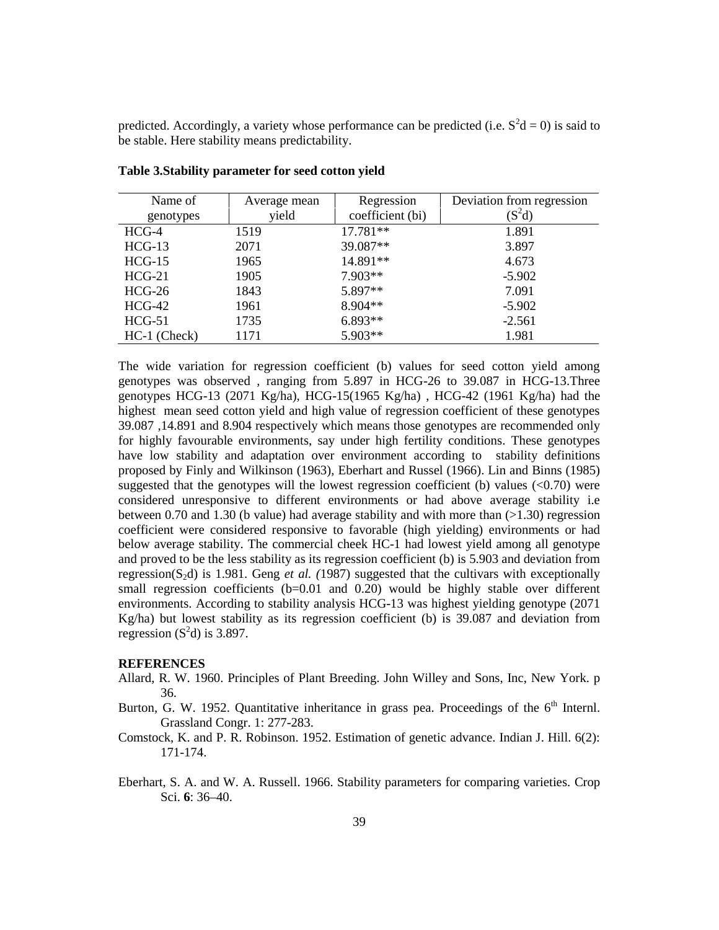predicted. Accordingly, a variety whose performance can be predicted (i.e.  $S^2d = 0$ ) is said to be stable. Here stability means predictability.

| Name of        | Average mean | Regression       | Deviation from regression |
|----------------|--------------|------------------|---------------------------|
| genotypes      | yield        | coefficient (bi) | $(S^2d)$                  |
| $HCG-4$        | 1519         | 17.781**         | 1.891                     |
| $HCG-13$       | 2071         | 39.087**         | 3.897                     |
| $HCG-15$       | 1965         | 14.891**         | 4.673                     |
| $HCG-21$       | 1905         | $7.903**$        | $-5.902$                  |
| $HCG-26$       | 1843         | 5.897**          | 7.091                     |
| $HCG-42$       | 1961         | 8.904**          | $-5.902$                  |
| $HCG-51$       | 1735         | $6.893**$        | $-2.561$                  |
| $HC-1$ (Check) | 1171         | $5.903**$        | 1.981                     |

**Table 3.Stability parameter for seed cotton yield**

The wide variation for regression coefficient (b) values for seed cotton yield among genotypes was observed , ranging from 5.897 in HCG-26 to 39.087 in HCG-13.Three genotypes HCG-13 (2071 Kg/ha), HCG-15(1965 Kg/ha) , HCG-42 (1961 Kg/ha) had the highest mean seed cotton yield and high value of regression coefficient of these genotypes 39.087 ,14.891 and 8.904 respectively which means those genotypes are recommended only for highly favourable environments, say under high fertility conditions. These genotypes have low stability and adaptation over environment according to stability definitions proposed by Finly and Wilkinson (1963), Eberhart and Russel (1966). Lin and Binns (1985) suggested that the genotypes will the lowest regression coefficient (b) values  $( $0.70$ )$  were considered unresponsive to different environments or had above average stability i.e between 0.70 and 1.30 (b value) had average stability and with more than  $(>1.30)$  regression coefficient were considered responsive to favorable (high yielding) environments or had below average stability. The commercial cheek HC-1 had lowest yield among all genotype and proved to be the less stability as its regression coefficient (b) is 5.903 and deviation from regression(S2d) is 1.981. Geng *et al. (*1987) suggested that the cultivars with exceptionally small regression coefficients  $(b=0.01$  and  $(0.20)$  would be highly stable over different environments. According to stability analysis HCG-13 was highest yielding genotype (2071 Kg/ha) but lowest stability as its regression coefficient (b) is 39.087 and deviation from regression  $(S<sup>2</sup>d)$  is 3.897.

#### **REFERENCES**

- Allard, R. W. 1960. Principles of Plant Breeding. John Willey and Sons, Inc, New York. p 36.
- Burton, G. W. 1952. Quantitative inheritance in grass pea. Proceedings of the  $6<sup>th</sup>$  Internl. Grassland Congr. 1: 277-283.
- Comstock, K. and P. R. Robinson. 1952. Estimation of genetic advance. Indian J. Hill. 6(2): 171-174.
- Eberhart, S. A. and W. A. Russell. 1966. Stability parameters for comparing varieties. Crop Sci. **6**: 36–40.